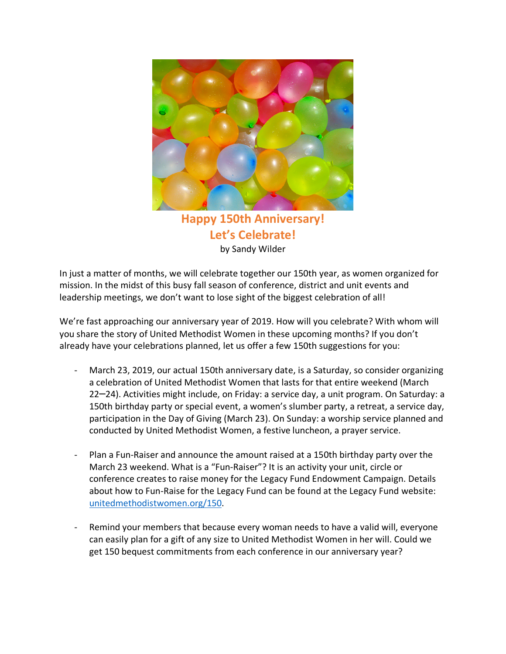

 by Sandy Wilder **Happy 150th Anniversary! Let's Celebrate!** 

 In just a matter of months, we will celebrate together our 150th year, as women organized for mission. In the midst of this busy fall season of conference, district and unit events and leadership meetings, we don't want to lose sight of the biggest celebration of all!

 We're fast approaching our anniversary year of 2019. How will you celebrate? With whom will you share the story of United Methodist Women in these upcoming months? If you don't already have your celebrations planned, let us offer a few 150th suggestions for you:

- - March 23, 2019, our actual 150th anniversary date, is a Saturday, so consider organizing a celebration of United Methodist Women that lasts for that entire weekend (March 22-24). Activities might include, on Friday: a service day, a unit program. On Saturday: a 150th birthday party or special event, a women's slumber party, a retreat, a service day, participation in the Day of Giving (March 23). On Sunday: a worship service planned and conducted by United Methodist Women, a festive luncheon, a prayer service.
- - Plan a Fun-Raiser and announce the amount raised at a 150th birthday party over the March 23 weekend. What is a "Fun-Raiser"? It is an activity your unit, circle or conference creates to raise money for the Legacy Fund Endowment Campaign. Details about how to Fun-Raise for the Legacy Fund can be found at the Legacy Fund website: unitedmethodistwomen.org/150.
- - Remind your members that because every woman needs to have a valid will, everyone can easily plan for a gift of any size to United Methodist Women in her will. Could we get 150 bequest commitments from each conference in our anniversary year?